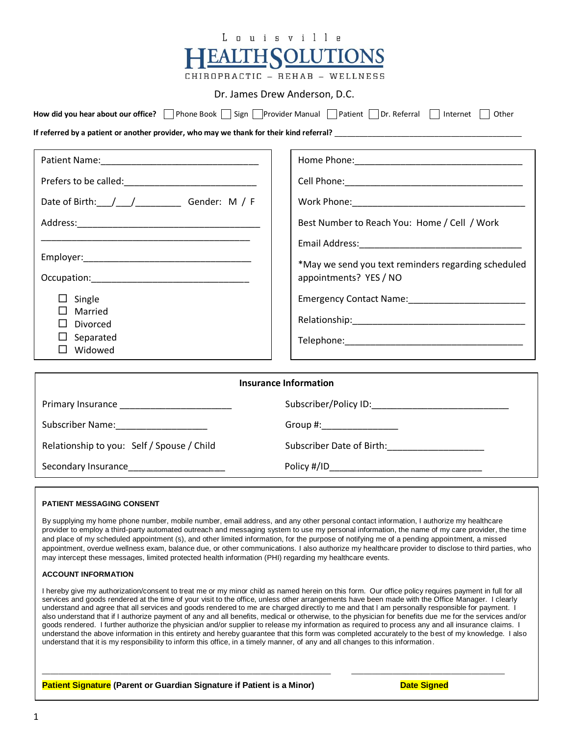| nuisvill                                                                                                                |                                                                                                                                                                                                                                |  |  |
|-------------------------------------------------------------------------------------------------------------------------|--------------------------------------------------------------------------------------------------------------------------------------------------------------------------------------------------------------------------------|--|--|
| <b>EALTH SOLUTIONS</b><br>CHIROPRACTIC - REHAB - WELLNESS                                                               |                                                                                                                                                                                                                                |  |  |
| Dr. James Drew Anderson, D.C.                                                                                           |                                                                                                                                                                                                                                |  |  |
| How did you hear about our office?   Phone Book   Sign   Provider Manual   Patient   Dr. Referral   Internet  <br>Other |                                                                                                                                                                                                                                |  |  |
| If referred by a patient or another provider, who may we thank for their kind referral?                                 |                                                                                                                                                                                                                                |  |  |
|                                                                                                                         |                                                                                                                                                                                                                                |  |  |
| Date of Birth: / / / Cender: M / F                                                                                      |                                                                                                                                                                                                                                |  |  |
|                                                                                                                         | Best Number to Reach You: Home / Cell / Work                                                                                                                                                                                   |  |  |
| $\Box$ Single<br>Married<br>Divorced<br>Separated<br>$\Box$ Widowed                                                     | *May we send you text reminders regarding scheduled<br>appointments? YES / NO                                                                                                                                                  |  |  |
| <b>Insurance Information</b>                                                                                            |                                                                                                                                                                                                                                |  |  |
|                                                                                                                         |                                                                                                                                                                                                                                |  |  |
| Subscriber Name: The Contract of the Subscriber Name:                                                                   | Group #: Network of the Second Second Second Second Second Second Second Second Second Second Second Second Second Second Second Second Second Second Second Second Second Second Second Second Second Second Second Second Se |  |  |
| Relationship to you: Self / Spouse / Child                                                                              | Subscriber Date of Birth: ______________________                                                                                                                                                                               |  |  |
| Secondary Insurance_______________________                                                                              |                                                                                                                                                                                                                                |  |  |
|                                                                                                                         |                                                                                                                                                                                                                                |  |  |

#### **PATIENT MESSAGING CONSENT**

By supplying my home phone number, mobile number, email address, and any other personal contact information, I authorize my healthcare provider to employ a third-party automated outreach and messaging system to use my personal information, the name of my care provider, the time and place of my scheduled appointment (s), and other limited information, for the purpose of notifying me of a pending appointment, a missed appointment, overdue wellness exam, balance due, or other communications. I also authorize my healthcare provider to disclose to third parties, who may intercept these messages, limited protected health information (PHI) regarding my healthcare events.

#### **ACCOUNT INFORMATION**

I hereby give my authorization/consent to treat me or my minor child as named herein on this form. Our office policy requires payment in full for all services and goods rendered at the time of your visit to the office, unless other arrangements have been made with the Office Manager. I clearly understand and agree that all services and goods rendered to me are charged directly to me and that I am personally responsible for payment. I also understand that if I authorize payment of any and all benefits, medical or otherwise, to the physician for benefits due me for the services and/or goods rendered. I further authorize the physician and/or supplier to release my information as required to process any and all insurance claims. I understand the above information in this entirety and hereby guarantee that this form was completed accurately to the best of my knowledge. I also understand that it is my responsibility to inform this office, in a timely manner, of any and all changes to this information.

\_\_\_\_\_\_\_\_\_\_\_\_\_\_\_\_\_\_\_\_\_\_\_\_\_\_\_\_\_\_\_\_\_\_\_\_\_\_\_\_\_\_\_\_\_\_\_\_\_\_\_\_\_\_\_\_\_\_\_\_\_\_\_\_\_\_\_\_\_\_ \_\_\_\_\_\_\_\_\_\_\_\_\_\_\_\_\_\_\_\_\_\_\_\_\_\_\_\_\_\_\_\_\_\_\_\_\_

#### **Patient Signature** (Parent or Guardian Signature if Patient is a Minor) **Date Signed**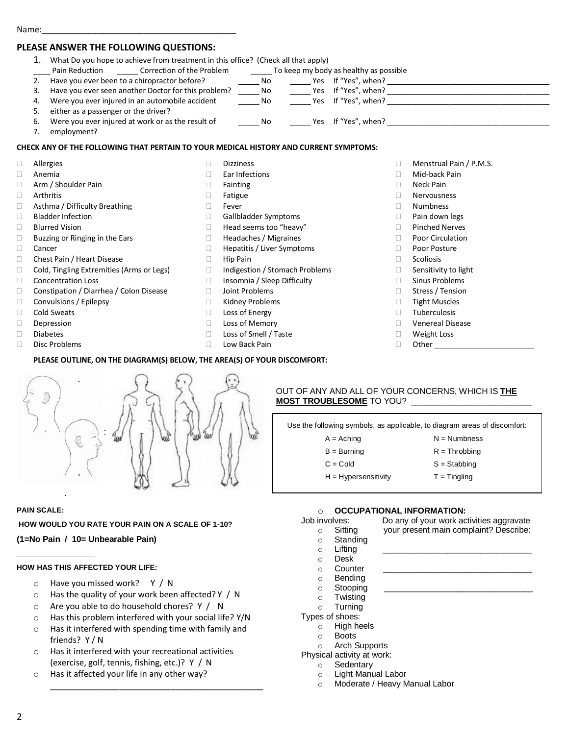### **PLEASE ANSWER THE FOLLOWING QUESTIONS:**

#### 1. What Do you hope to achieve from treatment in this office? (Check all that apply) Pain Reduction \_\_\_\_\_\_ Correction of the Problem \_\_\_\_\_\_\_ To keep my body as healthy as possible 2. Have you ever been to a chiropractor before? \_\_\_\_\_\_\_\_\_\_\_\_\_\_\_\_\_\_\_\_\_\_\_\_\_\_\_\_\_\_\_\_\_\_Yes If "Yes", when? 3. Have you ever seen another Doctor for this problem? No Yes If "Yes", when? 4. Were you ever injured in an automobile accident \_\_\_\_\_\_\_\_ No \_\_\_\_\_\_\_\_ Yes If "Yes", when? 5. either as a passenger or the driver? 6. Were you ever injured at work or as the result of Theorus No These If "Yes", when? 7. employment? **CHECK ANY OF THE FOLLOWING THAT PERTAIN TO YOUR MEDICAL HISTORY AND CURRENT SYMPTOMS:** Allergies Anemia Dizziness □ Menstrual Pain / P.M.S.

- □ Arm / Shoulder Pain Arthritis □ Asthma / Difficulty Breathing □ Bladder Infection □ Blurred Vision  $\Box$  Buzzing or Ringing in the Ears Cancer Chest Pain / Heart Disease □ Cold, Tingling Extremities (Arms or Legs) □ Concentration Loss Constipation / Diarrhea / Colon Disease □ Convulsions / Epilepsy □ Cold Sweats Depression
- Diabetes
- Disc Problems
- Ear Infections
- Fainting
- Fatigue D Fever
- □ Gallbladder Symptoms
- □ Head seems too "heavy"
- □ Headaches / Migraines
- □ Hepatitis / Liver Symptoms
- $\Box$  Hip Pain
- □ Indigestion / Stomach Problems
- □ Insomnia / Sleep Difficulty
- Joint Problems
- □ Kidney Problems
- □ Loss of Energy
- □ Loss of Memory
- □ Loss of Smell / Taste
- □ Low Back Pain

## Mid-back Pain

- Neck Pain
- Nervousness
- Numbness
- $\Box$  Pain down legs
- □ Pinched Nerves
- D Poor Circulation
- Poor Posture
- $\Box$  Scoliosis
- $\Box$  Sensitivity to light
- □ Sinus Problems
- □ Stress / Tension
- $\Box$  Tight Muscles
- Tuberculosis
- 
- Venereal Disease Weight Loss
- $\Box$  Other



**PLEASE OUTLINE, ON THE DIAGRAM(S) BELOW, THE AREA(S) OF YOUR DISCOMFORT:**

#### OUT OF ANY AND ALL OF YOUR CONCERNS, WHICH IS **THE MOST TROUBLESOME** TO YOU? \_\_\_\_\_\_\_\_\_\_\_\_\_\_\_\_\_\_\_\_\_\_\_\_\_\_

| Use the following symbols, as applicable, to diagram areas of discomfort: |                 |  |
|---------------------------------------------------------------------------|-----------------|--|
| $A =$ Aching                                                              | $N =$ Numbness  |  |
| $B = Burning$                                                             | $R = Throbbing$ |  |
| $C = Cold$                                                                | $S =$ Stabbing  |  |
| $H = Hypersensitivity$                                                    | $T =$ Tingling  |  |
|                                                                           |                 |  |

#### **PAIN SCALE:**

**\_\_\_\_\_\_\_\_\_\_\_\_\_\_\_\_\_\_\_**

**HOW WOULD YOU RATE YOUR PAIN ON A SCALE OF 1-10?** 

**(1=No Pain / 10= Unbearable Pain)**

### **HOW HAS THIS AFFECTED YOUR LIFE:**

- o Have you missed work? Y / N
- o Has the quality of your work been affected? Y / N
- o Are you able to do household chores? Y / N
- o Has this problem interfered with your social life? Y/N
- o Has it interfered with spending time with family and friends? Y / N

\_\_\_\_\_\_\_\_\_\_\_\_\_\_\_\_\_\_\_\_\_\_\_\_\_\_\_\_\_\_\_\_\_\_\_\_\_\_\_\_\_\_\_\_\_\_

- o Has it interfered with your recreational activities (exercise, golf, tennis, fishing, etc.)? Y / N
- o Has it affected your life in any other way?

Ives: Do any of your work activities aggravate<br>Sitting your present main complaint? Describe: o Sitting your present main complaint? Describe:

- 
- o Desk
- $\circ$  Counter
- o Bending
- $\circ$  Stooping
- 
- 
- -
	-
	-
- Physical activity at work:
	-
	-
	- o Moderate / Heavy Manual Labor

**OCCUPATIONAL INFORMATION:**<br>Job involves: Do any of your work ac

- o Standing o Lifting \_\_\_\_\_\_\_\_\_\_\_\_\_\_\_\_\_\_\_\_\_\_\_\_\_\_\_\_\_\_\_\_
- 
- 
- 
- o Twisting

- Types of shoes:
	- o High heels
	- o Boots
	- o Arch Supports
	-

o Light Manual Labor